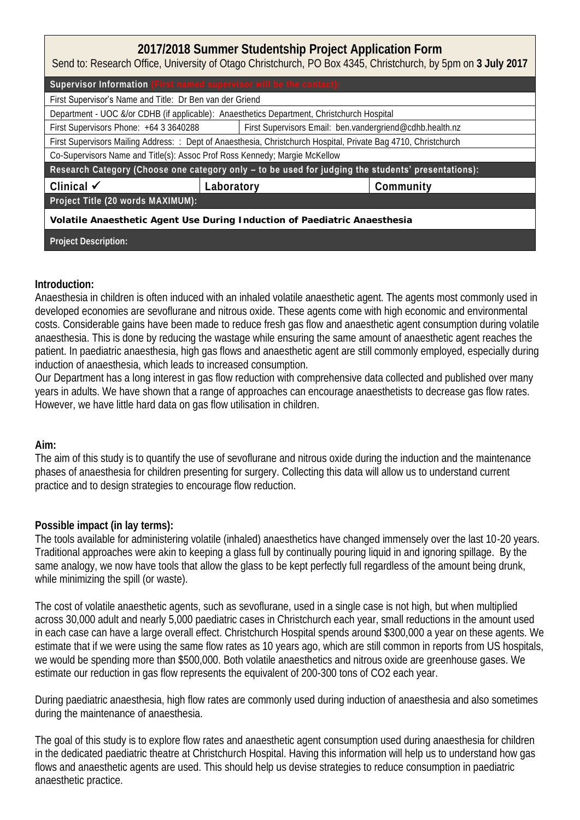# **2017/2018 Summer Studentship Project Application Form**

Send to: Research Office, University of Otago Christchurch, PO Box 4345, Christchurch, by 5pm on **3 July 2017**

| Supervisor Information (First named supervisor will be the contact):                                            |            |                                                          |           |  |  |  |  |
|-----------------------------------------------------------------------------------------------------------------|------------|----------------------------------------------------------|-----------|--|--|--|--|
| First Supervisor's Name and Title: Dr Ben van der Griend                                                        |            |                                                          |           |  |  |  |  |
| Department - UOC &/or CDHB (if applicable): Anaesthetics Department, Christchurch Hospital                      |            |                                                          |           |  |  |  |  |
| First Supervisors Phone: +64 3 3640288                                                                          |            | First Supervisors Email: ben.vandergriend@cdhb.health.nz |           |  |  |  |  |
| First Supervisors Mailing Address: : Dept of Anaesthesia, Christchurch Hospital, Private Bag 4710, Christchurch |            |                                                          |           |  |  |  |  |
| Co-Supervisors Name and Title(s): Assoc Prof Ross Kennedy; Margie McKellow                                      |            |                                                          |           |  |  |  |  |
| Research Category (Choose one category only - to be used for judging the students' presentations):              |            |                                                          |           |  |  |  |  |
| Clinical $\checkmark$                                                                                           | Laboratory |                                                          | Community |  |  |  |  |
| Project Title (20 words MAXIMUM):                                                                               |            |                                                          |           |  |  |  |  |
| Volatile Anaesthetic Agent Use During Induction of Paediatric Anaesthesia                                       |            |                                                          |           |  |  |  |  |
| Project Description:                                                                                            |            |                                                          |           |  |  |  |  |

## **Introduction:**

Anaesthesia in children is often induced with an inhaled volatile anaesthetic agent. The agents most commonly used in developed economies are sevoflurane and nitrous oxide. These agents come with high economic and environmental costs. Considerable gains have been made to reduce fresh gas flow and anaesthetic agent consumption during volatile anaesthesia. This is done by reducing the wastage while ensuring the same amount of anaesthetic agent reaches the patient. In paediatric anaesthesia, high gas flows and anaesthetic agent are still commonly employed, especially during induction of anaesthesia, which leads to increased consumption.

Our Department has a long interest in gas flow reduction with comprehensive data collected and published over many years in adults. We have shown that a range of approaches can encourage anaesthetists to decrease gas flow rates. However, we have little hard data on gas flow utilisation in children.

**Aim:** 

The aim of this study is to quantify the use of sevoflurane and nitrous oxide during the induction and the maintenance phases of anaesthesia for children presenting for surgery. Collecting this data will allow us to understand current practice and to design strategies to encourage flow reduction.

# **Possible impact (in lay terms):**

The tools available for administering volatile (inhaled) anaesthetics have changed immensely over the last 10-20 years. Traditional approaches were akin to keeping a glass full by continually pouring liquid in and ignoring spillage. By the same analogy, we now have tools that allow the glass to be kept perfectly full regardless of the amount being drunk, while minimizing the spill (or waste).

The cost of volatile anaesthetic agents, such as sevoflurane, used in a single case is not high, but when multiplied across 30,000 adult and nearly 5,000 paediatric cases in Christchurch each year, small reductions in the amount used in each case can have a large overall effect. Christchurch Hospital spends around \$300,000 a year on these agents. We estimate that if we were using the same flow rates as 10 years ago, which are still common in reports from US hospitals, we would be spending more than \$500,000. Both volatile anaesthetics and nitrous oxide are greenhouse gases. We estimate our reduction in gas flow represents the equivalent of 200-300 tons of CO2 each year.

During paediatric anaesthesia, high flow rates are commonly used during induction of anaesthesia and also sometimes during the maintenance of anaesthesia.

The goal of this study is to explore flow rates and anaesthetic agent consumption used during anaesthesia for children in the dedicated paediatric theatre at Christchurch Hospital. Having this information will help us to understand how gas flows and anaesthetic agents are used. This should help us devise strategies to reduce consumption in paediatric anaesthetic practice.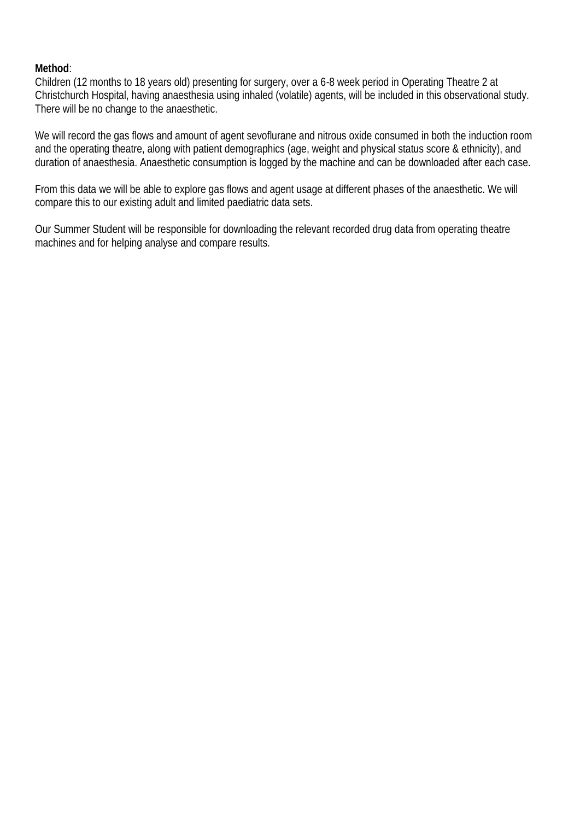## **Method**:

Children (12 months to 18 years old) presenting for surgery, over a 6-8 week period in Operating Theatre 2 at Christchurch Hospital, having anaesthesia using inhaled (volatile) agents, will be included in this observational study. There will be no change to the anaesthetic.

We will record the gas flows and amount of agent sevoflurane and nitrous oxide consumed in both the induction room and the operating theatre, along with patient demographics (age, weight and physical status score & ethnicity), and duration of anaesthesia. Anaesthetic consumption is logged by the machine and can be downloaded after each case.

From this data we will be able to explore gas flows and agent usage at different phases of the anaesthetic. We will compare this to our existing adult and limited paediatric data sets.

Our Summer Student will be responsible for downloading the relevant recorded drug data from operating theatre machines and for helping analyse and compare results.